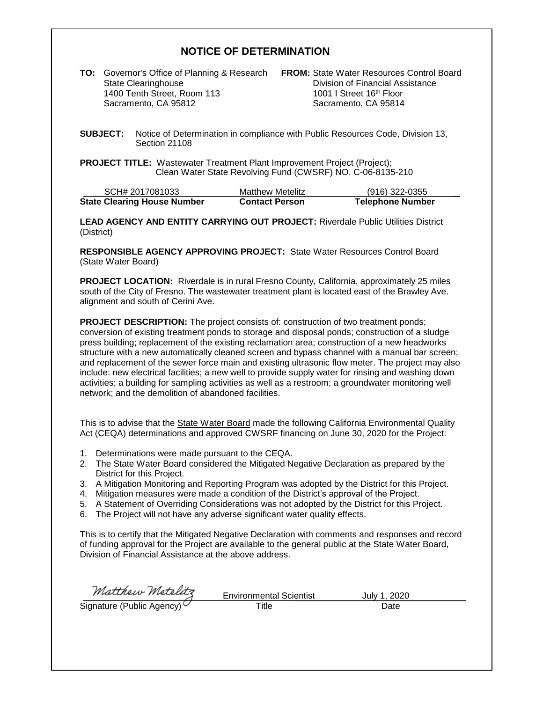## **NOTICE OF DETERMINATION**

**TO:** Governor's Office of Planning & Research **FROM:** State Water Resources Control Board 1400 Tenth Street, Room 113 Sacramento, CA 95812 Sacramento, CA 95814

Division of Financial Assistance<br>1001 | Street 16<sup>th</sup> Floor

**SUBJECT:** Notice of Determination in compliance with Public Resources Code, Division 13, Section 21108

**PROJECT TITLE:** Wastewater Treatment Plant Improvement Project (Project); Clean Water State Revolving Fund (CWSRF) NO. C-06-8135-210

| SCH# 2017081033                    | <b>Matthew Metelitz</b> | $(916)$ 322-0355        |
|------------------------------------|-------------------------|-------------------------|
| <b>State Clearing House Number</b> | <b>Contact Person</b>   | <b>Telephone Number</b> |

**LEAD AGENCY AND ENTITY CARRYING OUT PROJECT:** Riverdale Public Utilities District (District)

**RESPONSIBLE AGENCY APPROVING PROJECT:** State Water Resources Control Board (State Water Board)

**PROJECT LOCATION:** Riverdale is in rural Fresno County, California, approximately 25 miles south of the City of Fresno. The wastewater treatment plant is located east of the Brawley Ave. alignment and south of Cerini Ave.

**PROJECT DESCRIPTION:** The project consists of: construction of two treatment ponds; conversion of existing treatment ponds to storage and disposal ponds; construction of a sludge press building; replacement of the existing reclamation area; construction of a new headworks structure with a new automatically cleaned screen and bypass channel with a manual bar screen; and replacement of the sewer force main and existing ultrasonic flow meter. The project may also include: new electrical facilities; a new well to provide supply water for rinsing and washing down activities; a building for sampling activities as well as a restroom; a groundwater monitoring well network; and the demolition of abandoned facilities.

This is to advise that the State Water Board made the following California Environmental Quality Act (CEQA) determinations and approved CWSRF financing on June 30, 2020 for the Project:

- 1. Determinations were made pursuant to the CEQA.
- 2. The State Water Board considered the Mitigated Negative Declaration as prepared by the District for this Project.
- 3. A Mitigation Monitoring and Reporting Program was adopted by the District for this Project.
- 4. Mitigation measures were made a condition of the District's approval of the Project.
- 5. A Statement of Overriding Considerations was not adopted by the District for this Project.
- 6. The Project will not have any adverse significant water quality effects.

This is to certify that the Mitigated Negative Declaration with comments and responses and record of funding approval for the Project are available to the general public at the State Water Board, Division of Financial Assistance at the above address.

Matthew Metelitz

Environmental Scientist July 1, 2020 Signature (Public Agency) Trivilor internal Scientist<br>Title Date